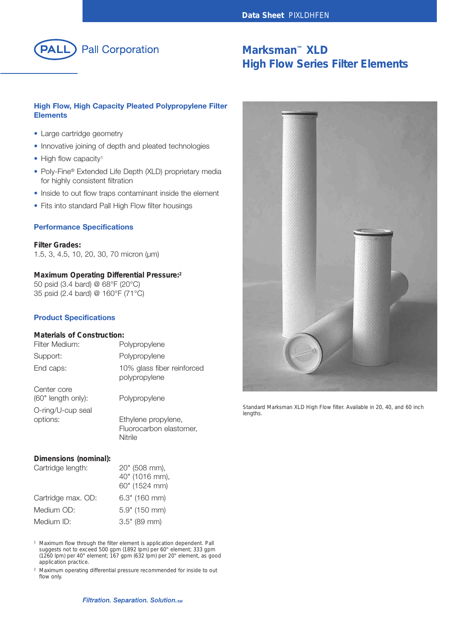

# **Marksman™ XLD High Flow Series Filter Elements**

## **High Flow, High Capacity Pleated Polypropylene Filter Elements**

- Large cartridge geometry
- Innovative joining of depth and pleated technologies
- High flow capacity<sup>1</sup>
- Poly-Fine® Extended Life Depth (XLD) proprietary media for highly consistent filtration
- Inside to out flow traps contaminant inside the element
- Fits into standard Pall High Flow filter housings

#### **Performance Specifications**

**Filter Grades:** 1.5, 3, 4.5, 10, 20, 30, 70 micron (µm)

#### **Maximum Operating Differential Pressure: 2**

50 psid (3.4 bard) @ 68°F (20°C) 35 psid (2.4 bard) @ 160°F (71°C)

## **Product Specifications**

## **Materials of Construction:**

| Polypropylene                                             |
|-----------------------------------------------------------|
| 10% glass fiber reinforced<br>polypropylene               |
| Polypropylene                                             |
| Ethylene propylene,<br>Fluorocarbon elastomer,<br>Nitrile |
|                                                           |

#### **Dimensions (nominal):**

| Cartridge length:  | 20" (508 mm),   |
|--------------------|-----------------|
|                    | 40" (1016 mm),  |
|                    | 60" (1524 mm)   |
| Cartridge max. OD: | $6.3"$ (160 mm) |
| Medium OD:         | 5.9" (150 mm)   |
| Medium ID:         | $3.5"$ (89 mm)  |

*<sup>1</sup> Maximum flow through the filter element is application dependent. Pall suggests not to exceed 500 gpm (1892 lpm) per 60" element; 333 gpm (1260 lpm) per 40" element; 167 gpm (632 lpm) per 20" element, as good application practice.*

*<sup>2</sup> Maximum operating differential pressure recommended for inside to out flow only.*



*Standard Marksman XLD High Flow filter. Available in 20, 40, and 60 inch lengths.*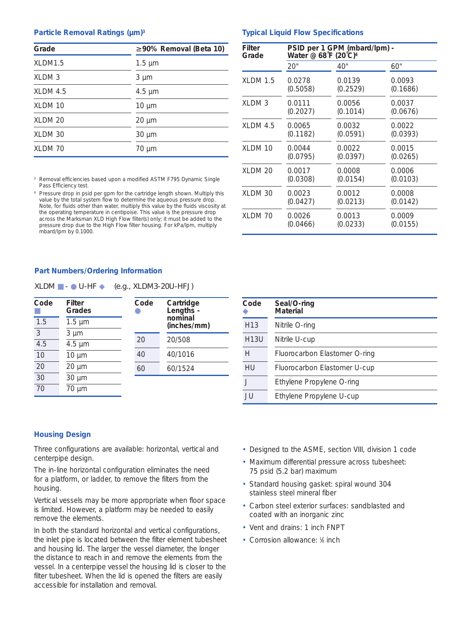#### **Particle Removal Ratings (µm)3**

| Grade      | $\geq 90\%$ Removal (Beta 10) |
|------------|-------------------------------|
| XLDM1.5    | $1.5 \mu m$                   |
| XLDM 3     | $3 \mu m$                     |
| $XLDM$ 4.5 | $4.5 \mu m$                   |
| XLDM 10    | $10 \mu m$                    |
| XLDM 20    | $20 \mu m$                    |
| XLDM 30    | $30 \mu m$                    |
| XLDM 70    | $70 \mu m$                    |

*<sup>3</sup> Removal efficiencies based upon a modified ASTM F795 Dynamic Single Pass Efficiency test.*

*<sup>4</sup> Pressure drop in psid per gpm for the cartridge length shown. Multiply this value by the total system flow to determine the aqueous pressure drop. Note, for fluids other than water, multiply this value by the fluids viscosity at the operating temperature in centipoise. This value is the pressure drop across the Marksman XLD High Flow filter(s) only; it must be added to the pressure drop due to the High Flow filter housing. For kPa/lpm, multiply mbard/lpm by 0.1000.*

### **Typical Liquid Flow Specifications**

| Filter<br>Grade | Water @ 68°F (20°C) <sup>4</sup> | PSID per 1 GPM (mbard/lpm) - |          |
|-----------------|----------------------------------|------------------------------|----------|
|                 | 20"                              | 40"                          | 60"      |
| $XLDM$ 1.5      | 0.0278                           | 0.0139                       | 0.0093   |
|                 | (0.5058)                         | (0.2529)                     | (0.1686) |
| XLDM 3          | 0.0111                           | 0.0056                       | 0.0037   |
|                 | (0.2027)                         | (0.1014)                     | (0.0676) |
| $XLDM$ 4.5      | 0.0065                           | 0.0032                       | 0.0022   |
|                 | (0.1182)                         | (0.0591)                     | (0.0393) |
| XLDM 10         | 0.0044                           | 0.0022                       | 0.0015   |
|                 | (0.0795)                         | (0.0397)                     | (0.0265) |
| <b>XLDM 20</b>  | 0.0017                           | 0.0008                       | 0.0006   |
|                 | (0.0308)                         | (0.0154)                     | (0.0103) |
| XLDM 30         | 0.0023                           | 0.0012                       | 0.0008   |
|                 | (0.0427)                         | (0.0213)                     | (0.0142) |
| XLDM 70         | 0.0026                           | 0.0013                       | 0.0009   |
|                 | (0.0466)                         | (0.0233)                     | (0.0155) |

#### **Part Numbers/Ordering Information**

| XLDM<br>$\bullet$ U-HF | $(e.g., XLDM3-20U-HFJ)$ |
|------------------------|-------------------------|
|------------------------|-------------------------|

| Code            | Filter<br><b>Grades</b> | Code | Cartridge<br>Lengths - |
|-----------------|-------------------------|------|------------------------|
| 1.5             | $1.5 \mu m$             |      | nominal<br>(inches/mm) |
| 3               | $3 \mu m$               |      |                        |
| 4.5             | $4.5 \mu m$             | 20   | 20/508                 |
| 10              | $10 \mu m$              | 40   | 40/1016                |
| 20              | $20 \mu m$              | 60   | 60/1524                |
| $\overline{30}$ | $30 \mu m$              |      |                        |
| 70              | 70<br>$\mu$ m           |      |                        |

| Code            | Seal/O-ring<br><b>Material</b> |
|-----------------|--------------------------------|
| H <sub>13</sub> | Nitrile O-ring                 |
| H13U            | Nitrile U-cup                  |
| H               | Fluorocarbon Elastomer O-ring  |
| HU              | Fluorocarbon Elastomer U-cup   |
|                 | Ethylene Propylene O-ring      |
| JU.             | Ethylene Propylene U-cup       |

#### **Housing Design**

Three configurations are available: horizontal, vertical and centerpipe design.

The in-line horizontal configuration eliminates the need for a platform, or ladder, to remove the filters from the housing.

Vertical vessels may be more appropriate when floor space is limited. However, a platform may be needed to easily remove the elements.

In both the standard horizontal and vertical configurations, the inlet pipe is located between the filter element tubesheet and housing lid. The larger the vessel diameter, the longer the distance to reach in and remove the elements from the vessel. In a centerpipe vessel the housing lid is closer to the filter tubesheet. When the lid is opened the filters are easily accessible for installation and removal.

- Designed to the ASME, section VIII, division 1 code
- Maximum differential pressure across tubesheet: 75 psid (5.2 bar) maximum
- Standard housing gasket: spiral wound 304 stainless steel mineral fiber
- Carbon steel exterior surfaces: sandblasted and coated with an inorganic zinc
- Vent and drains: 1 inch FNPT
- Corrosion allowance: 1/8 inch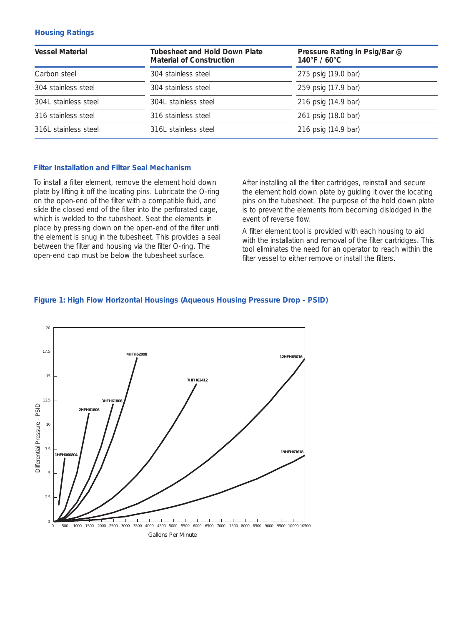## **Housing Ratings**

| <b>Vessel Material</b> | <b>Tubesheet and Hold Down Plate</b><br><b>Material of Construction</b> | Pressure Rating in Psig/Bar @<br>$140^{\circ}$ F / 60 $^{\circ}$ C |  |  |
|------------------------|-------------------------------------------------------------------------|--------------------------------------------------------------------|--|--|
| Carbon steel           | 304 stainless steel                                                     | 275 psig (19.0 bar)                                                |  |  |
| 304 stainless steel    | 304 stainless steel                                                     | 259 psig (17.9 bar)                                                |  |  |
| 304L stainless steel   | 304L stainless steel                                                    | 216 psig (14.9 bar)                                                |  |  |
| 316 stainless steel    | 316 stainless steel                                                     | 261 psig (18.0 bar)                                                |  |  |
| 316L stainless steel   | 316L stainless steel                                                    | 216 psig (14.9 bar)                                                |  |  |

## **Filter Installation and Filter Seal Mechanism**

To install a filter element, remove the element hold down plate by lifting it off the locating pins. Lubricate the O-ring on the open-end of the filter with a compatible fluid, and slide the closed end of the filter into the perforated cage, which is welded to the tubesheet. Seat the elements in place by pressing down on the open-end of the filter until the element is snug in the tubesheet. This provides a seal between the filter and housing via the filter O-ring. The open-end cap must be below the tubesheet surface.

After installing all the filter cartridges, reinstall and secure the element hold down plate by guiding it over the locating pins on the tubesheet. The purpose of the hold down plate is to prevent the elements from becoming dislodged in the event of reverse flow.

A filter element tool is provided with each housing to aid with the installation and removal of the filter cartridges. This tool eliminates the need for an operator to reach within the filter vessel to either remove or install the filters.



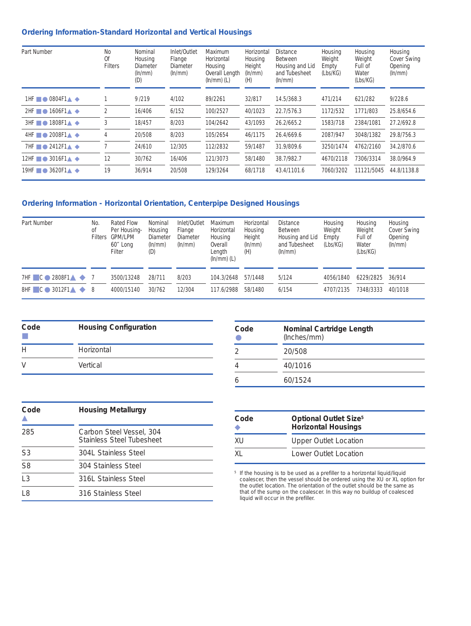# **Ordering Information-Standard Horizontal and Vertical Housings**

| <b>Part Number</b>                                                         | No<br>0f<br><b>Filters</b> | <b>Nominal</b><br><b>Housing</b><br><b>Diameter</b><br>$(\ln/mm)$<br>(D) | Inlet/Outlet<br>Flange<br><b>Diameter</b><br>$(\ln/mm)$ | <b>Maximum</b><br>Horizontal<br>Housing<br><b>Overall Length</b><br>$(\ln/\text{mm})$ (L) | Horizontal<br><b>Housing</b><br>Height<br>$(\ln/mm)$<br>(H) | <b>Distance</b><br><b>Between</b><br><b>Housing and Lid</b><br>and Tubesheet<br>$(\ln/mm)$ | <b>Housing</b><br>Weight<br><b>Empty</b><br>(Lbs/KG) | <b>Housing</b><br>Weight<br><b>Full of</b><br><b>Water</b><br>(Lbs/KG) | <b>Housing</b><br><b>Cover Swing</b><br><b>Opening</b><br>$(\ln/mm)$ |
|----------------------------------------------------------------------------|----------------------------|--------------------------------------------------------------------------|---------------------------------------------------------|-------------------------------------------------------------------------------------------|-------------------------------------------------------------|--------------------------------------------------------------------------------------------|------------------------------------------------------|------------------------------------------------------------------------|----------------------------------------------------------------------|
| 1HF $\blacksquare$ $\blacksquare$ 0804F1 $\blacktriangle$ $\blacktriangle$ |                            | 9/219                                                                    | 4/102                                                   | 89/2261                                                                                   | 32/817                                                      | 14.5/368.3                                                                                 | 471/214                                              | 621/282                                                                | 9/228.6                                                              |
| $2HF \rightarrow 1606F1 \rightarrow \rightarrow$                           | $\overline{2}$             | 16/406                                                                   | 6/152                                                   | 100/2527                                                                                  | 40/1023                                                     | 22.7/576.3                                                                                 | 1172/532                                             | 1771/803                                                               | 25.8/654.6                                                           |
| $3HF \blacksquare$ $\blacksquare$ 1808F1 $\blacktriangle$ $\blacktriangle$ | 3                          | 18/457                                                                   | 8/203                                                   | 104/2642                                                                                  | 43/1093                                                     | 26.2/665.2                                                                                 | 1583/718                                             | 2384/1081                                                              | 27.2/692.8                                                           |
| $4HF \rightarrow 2008F1 \rightarrow$                                       |                            | 20/508                                                                   | 8/203                                                   | 105/2654                                                                                  | 46/1175                                                     | 26.4/669.6                                                                                 | 2087/947                                             | 3048/1382                                                              | 29.8/756.3                                                           |
| 7HF $\blacksquare$ 2412F1 $\blacktriangle$ $\blacktriangle$                |                            | 24/610                                                                   | 12/305                                                  | 112/2832                                                                                  | 59/1487                                                     | 31.9/809.6                                                                                 | 3250/1474                                            | 4762/2160                                                              | 34.2/870.6                                                           |
| $3016F1 \triangle \blacklozenge$<br>$12HF \blacksquare$                    | 12                         | 30/762                                                                   | 16/406                                                  | 121/3073                                                                                  | 58/1480                                                     | 38.7/982.7                                                                                 | 4670/2118                                            | 7306/3314                                                              | 38.0/964.9                                                           |
| $19HF \blacksquare$<br>$3620F1 \triangle \blacklozenge$                    | 19                         | 36/914                                                                   | 20/508                                                  | 129/3264                                                                                  | 68/1718                                                     | 43.4/1101.6                                                                                | 7060/3202                                            | 11121/5045                                                             | 44.8/1138.8                                                          |

# **Ordering Information - Horizontal Orientation, Centerpipe Designed Housings**

| <b>Part Number</b>                                   | No.<br>of<br><b>Filters</b> | <b>Rated Flow</b><br><b>Per Housing-</b><br><b>GPM/LPM</b><br>60" Long<br><b>Filter</b> | <b>Nominal</b><br><b>Housing</b><br><b>Diameter</b><br>$(\ln/mm)$<br>(D) | <b>Inlet/Outlet</b><br>Flange<br><b>Diameter</b><br>$(\ln/mm)$ | <b>Maximum</b><br>Horizontal<br><b>Housing</b><br><b>Overall</b><br>Length<br>$(\text{In/mm})$ (L) | Horizontal<br><b>Housing</b><br>Height<br>$(\ln/mm)$<br>(H) | <b>Distance</b><br><b>Between</b><br><b>Housing and Lid</b><br>and Tubesheet<br>$(\ln/mm)$ | <b>Housing</b><br>Weight<br><b>Empty</b><br>(Lbs/KG) | <b>Housing</b><br>Weight<br><b>Full of</b><br><b>Water</b><br>(Lbs/KG) | <b>Housing</b><br><b>Cover Swing</b><br><b>Opening</b><br>$(\ln/mm)$ |
|------------------------------------------------------|-----------------------------|-----------------------------------------------------------------------------------------|--------------------------------------------------------------------------|----------------------------------------------------------------|----------------------------------------------------------------------------------------------------|-------------------------------------------------------------|--------------------------------------------------------------------------------------------|------------------------------------------------------|------------------------------------------------------------------------|----------------------------------------------------------------------|
| $7HF$ $C$ $2808F1$ $4$ $7$                           | - 8                         | 3500/13248                                                                              | 28/711                                                                   | 8/203                                                          | 104.3/2648                                                                                         | 57/1448                                                     | 5/124                                                                                      | 4056/1840                                            | 6229/2825                                                              | 36/914                                                               |
| $8HF$ $C \rightarrow 3012F1 \rightarrow \rightarrow$ |                             | 4000/15140                                                                              | 30/762                                                                   | 12/304                                                         | 117.6/2988                                                                                         | 58/1480                                                     | 6/154                                                                                      | 4707/2135                                            | 7348/3333                                                              | 40/1018                                                              |

| Code | <b>Housing Configuration</b> |
|------|------------------------------|
| H    | Horizontal                   |
| V    | Vertical                     |

| Code | <b>Nominal Cartridge Length</b><br>(Inches/mm) |
|------|------------------------------------------------|
|      | 20/508                                         |
|      | 40/1016                                        |
|      | 60/1524                                        |

| Code           | <b>Housing Metallurgy</b>                                    |
|----------------|--------------------------------------------------------------|
| 285            | Carbon Steel Vessel, 304<br><b>Stainless Steel Tubesheet</b> |
| S <sub>3</sub> | 304L Stainless Steel                                         |
| S <sub>8</sub> | 304 Stainless Steel                                          |
| L <sub>3</sub> | 316L Stainless Steel                                         |
| L8             | 316 Stainless Steel                                          |

| Code      | <b>Optional Outlet Size</b> <sup>5</sup><br><b>Horizontal Housings</b> |
|-----------|------------------------------------------------------------------------|
| <b>XU</b> | <b>Upper Outlet Location</b>                                           |
| XI.       | Lower Outlet Location                                                  |

*<sup>5</sup> If the housing is to be used as a prefiller to a horizontal liquid/liquid coalescer, then the vessel should be ordered using the XU or XL option for the outlet location. The orientation of the outlet should be the same as that of the sump on the coalescer. In this way no buildup of coalesced liquid will occur in the prefiller.*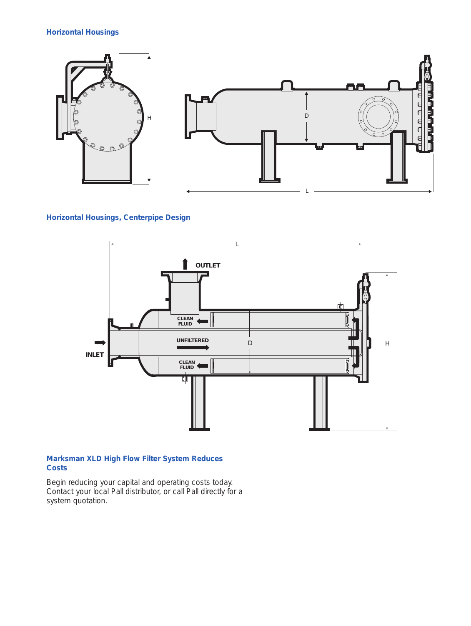# **Horizontal Housings**



# **Horizontal Housings, Centerpipe Design**



# **Marksman XLD High Flow Filter System Reduces Costs**

Begin reducing your capital and operating costs today. Contact your local Pall distributor, or call Pall directly for a system quotation.